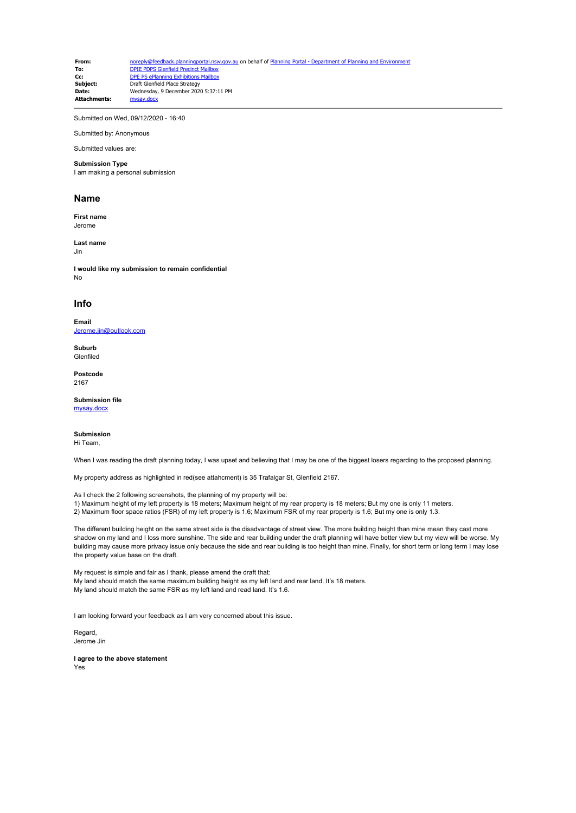**From:** [noreply@feedback.planningportal.nsw.gov.au](mailto:noreply@feedback.planningportal.nsw.gov.au) on behalf of Planning Portal - Department of Planning and Env **To:** [DPIE PDPS Glenfield Precinct Mailbox](mailto:glenfield.precinct@planning.nsw.gov.au)<br> **Co:** DPE PS ePlanning Exhibitions Mailbox **Cc:** [DPE PS ePlanning Exhibitions Mailbox](mailto:eplanning.exhibitions@planning.nsw.gov.au)<br> **Subject:** Draft Glenfield Place Strategy **Subject:** Draft Glenfield Place Strategy<br>
Date: Wednesday 9 December 2020 Wednesday, 9 December 2020 5:37:11 PM<br>mysay docx Attachments:

Submitted on Wed, 09/12/2020 - 16:40

Submitted by: Anonymous Submitted values are:

# **Submission Type**

I am making a personal submission

#### **Name**

**First name** Jerome

**Last name**

Jin

**I would like my submission to remain confidential** No

## **Info**

**Email** [Jerome.jin@outlook.com](mailto:Jerome.jin@outlook.com)

**Suburb** Glenfiled

**Postcode** 2167

#### **Submission file**

[mysay.docx](https://pp.planningportal.nsw.gov.au/system/files/webform/draft_plans_glenfield/114266/mysay.docx)

## **Submission**

Hi Team,

When I was reading the draft planning today, I was upset and believing that I may be one of the biggest losers regarding to the proposed planning.

My property address as highlighted in red(see attahcment) is 35 Trafalgar St, Glenfield 2167.

As I check the 2 following screenshots, the planning of my property will be: 1) Maximum height of my left property is 18 meters; Maximum height of my rear property is 18 meters; But my one is only 11 meters.

2) Maximum floor space ratios (FSR) of my left property is 1.6; Maximum FSR of my rear property is 1.6; But my one is only 1.3.

The different building height on the same street side is the disadvantage of street view. The more building height than mine mean they cast more shadow on my land and I loss more sunshine. The side and rear building under the draft planning will have better view but my view will be worse. My building may cause more privacy issue only because the side and rear building is too height than mine. Finally, for short term or long term I may lose the property value base on the draft.

My request is simple and fair as I thank, please amend the draft that: My land should match the same maximum building height as my left land and rear land. It's 18 meters. My land should match the same FSR as my left land and read land. It's 1.6.

I am looking forward your feedback as I am very concerned about this issue.

Regard, Jerome Jin

**I agree to the above statement** Yes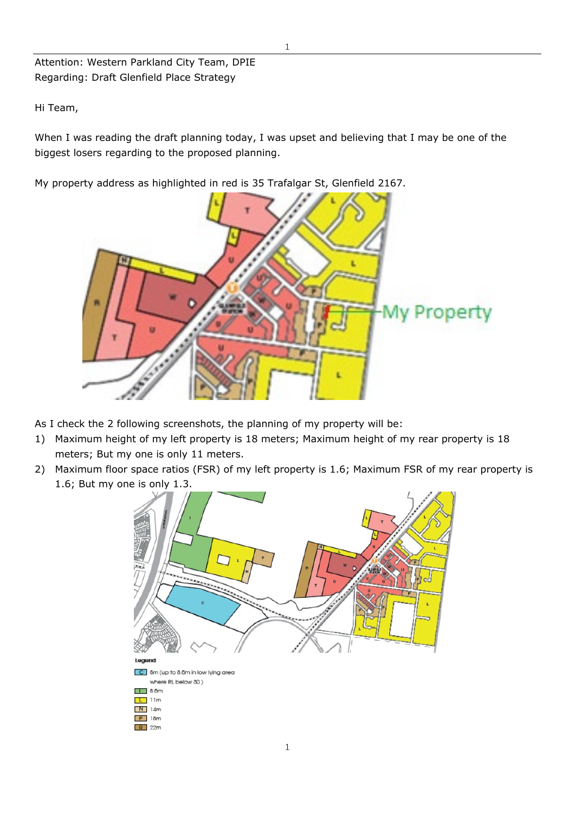Attention: Western Parkland City Team, DPIE Regarding: Draft Glenfield Place Strategy

Hi Team,

When I was reading the draft planning today, I was upset and believing that I may be one of the biggest losers regarding to the proposed planning.

My property address as highlighted in red is 35 Trafalgar St, Glenfield 2167.



As I check the 2 following screenshots, the planning of my property will be:

- 1) Maximum height of my left property is 18 meters; Maximum height of my rear property is 18 meters; But my one is only 11 meters.
- 2) Maximum floor space ratios (FSR) of my left property is 1.6; Maximum FSR of my rear property is 1.6; But my one is only 1.3.